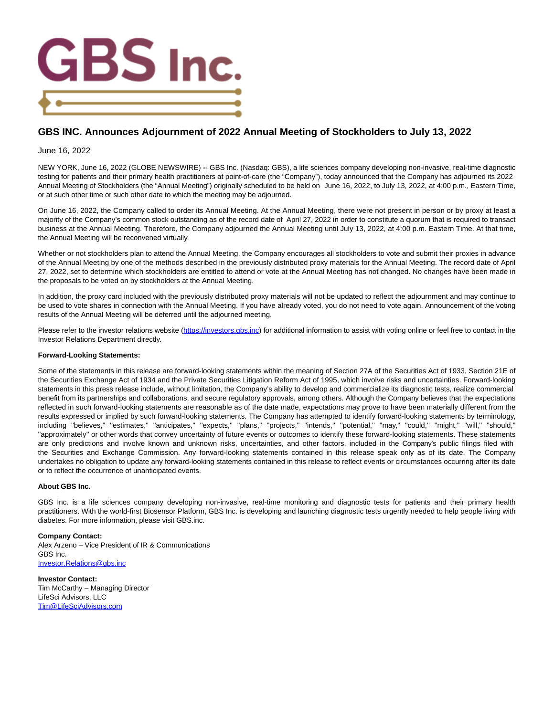

## **GBS INC. Announces Adjournment of 2022 Annual Meeting of Stockholders to July 13, 2022**

## June 16, 2022

NEW YORK, June 16, 2022 (GLOBE NEWSWIRE) -- GBS Inc. (Nasdaq: GBS), a life sciences company developing non-invasive, real-time diagnostic testing for patients and their primary health practitioners at point-of-care (the "Company"), today announced that the Company has adjourned its 2022 Annual Meeting of Stockholders (the "Annual Meeting") originally scheduled to be held on June 16, 2022, to July 13, 2022, at 4:00 p.m., Eastern Time, or at such other time or such other date to which the meeting may be adjourned.

On June 16, 2022, the Company called to order its Annual Meeting. At the Annual Meeting, there were not present in person or by proxy at least a majority of the Company's common stock outstanding as of the record date of April 27, 2022 in order to constitute a quorum that is required to transact business at the Annual Meeting. Therefore, the Company adjourned the Annual Meeting until July 13, 2022, at 4:00 p.m. Eastern Time. At that time, the Annual Meeting will be reconvened virtually.

Whether or not stockholders plan to attend the Annual Meeting, the Company encourages all stockholders to vote and submit their proxies in advance of the Annual Meeting by one of the methods described in the previously distributed proxy materials for the Annual Meeting. The record date of April 27, 2022, set to determine which stockholders are entitled to attend or vote at the Annual Meeting has not changed. No changes have been made in the proposals to be voted on by stockholders at the Annual Meeting.

In addition, the proxy card included with the previously distributed proxy materials will not be updated to reflect the adjournment and may continue to be used to vote shares in connection with the Annual Meeting. If you have already voted, you do not need to vote again. Announcement of the voting results of the Annual Meeting will be deferred until the adjourned meeting.

Please refer to the investor relations website [\(https://investors.gbs.inc\)](https://www.globenewswire.com/Tracker?data=ycwOMewuEsKhlrv42mPIyzAoc33luBJKq32no4R704eiQj5gB1z5oU3YTropX2MMho7H_HPfthI9_8zj-kCIRk56D8QZTSyHcNuotsIBW8s=) for additional information to assist with voting online or feel free to contact in the Investor Relations Department directly.

## **Forward-Looking Statements:**

Some of the statements in this release are forward-looking statements within the meaning of Section 27A of the Securities Act of 1933, Section 21E of the Securities Exchange Act of 1934 and the Private Securities Litigation Reform Act of 1995, which involve risks and uncertainties. Forward-looking statements in this press release include, without limitation, the Company's ability to develop and commercialize its diagnostic tests, realize commercial benefit from its partnerships and collaborations, and secure regulatory approvals, among others. Although the Company believes that the expectations reflected in such forward-looking statements are reasonable as of the date made, expectations may prove to have been materially different from the results expressed or implied by such forward-looking statements. The Company has attempted to identify forward-looking statements by terminology, including ''believes,'' ''estimates,'' ''anticipates,'' ''expects,'' ''plans,'' ''projects,'' ''intends,'' ''potential,'' ''may,'' ''could,'' ''might,'' ''will,'' ''should,'' ''approximately'' or other words that convey uncertainty of future events or outcomes to identify these forward-looking statements. These statements are only predictions and involve known and unknown risks, uncertainties, and other factors, included in the Company's public filings filed with the Securities and Exchange Commission. Any forward-looking statements contained in this release speak only as of its date. The Company undertakes no obligation to update any forward-looking statements contained in this release to reflect events or circumstances occurring after its date or to reflect the occurrence of unanticipated events.

## **About GBS Inc.**

GBS Inc. is a life sciences company developing non-invasive, real-time monitoring and diagnostic tests for patients and their primary health practitioners. With the world-first Biosensor Platform, GBS Inc. is developing and launching diagnostic tests urgently needed to help people living with diabetes. For more information, please visit GBS.inc.

**Company Contact:** Alex Arzeno – Vice President of IR & Communications GBS Inc. [Investor.Relations@gbs.inc](https://www.globenewswire.com/Tracker?data=RDJ4ZeK-iFFkioBTEonrxTC5eKE4BGwgH1_QHI8xGlMFvPRK8d_NiTUyfxL5CDhp1roTSyaFxjJu67sf5GZy3l2NBLavP5xwDzbpMqWN_v1M2_RymdlwVzHHLqa44998)

**Investor Contact:** Tim McCarthy – Managing Director LifeSci Advisors, LLC [Tim@LifeSciAdvisors.com](https://www.globenewswire.com/Tracker?data=7QBFB42-7Uj4su1eEDNy9xw930MoRuwv-JV3jfqR2jyYDVSm5hFGOTQ4Cp9jHQbO_Ia_2HsR43TW4LtD4H_5jknZw7O_Pi-887DTxisOxf4=)